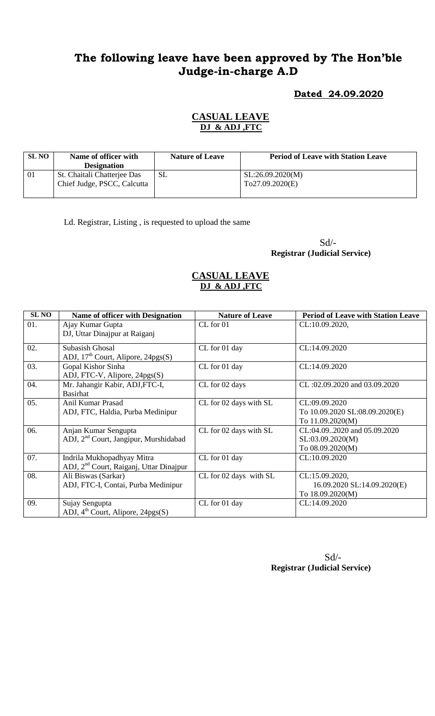# **The following leave have been approved by The Hon'ble Judge-in-charge A.D**

### **Dated 24.09.2020**

## **CASUAL LEAVE DJ & ADJ ,FTC**

| <b>SL NO</b> | Name of officer with<br><b>Designation</b>                 | <b>Nature of Leave</b> | <b>Period of Leave with Station Leave</b>   |
|--------------|------------------------------------------------------------|------------------------|---------------------------------------------|
| -01          | St. Chaitali Chatterjee Das<br>Chief Judge, PSCC, Calcutta | SL                     | $\vert$ SL:26.09.2020(M)<br>TO27.09.2020(E) |

Ld. Registrar, Listing , is requested to upload the same

Sd/- **Registrar (Judicial Service)**

#### **CASUAL LEAVE DJ & ADJ ,FTC**

| <b>SLNO</b> | <b>Name of officer with Designation</b>             | <b>Nature of Leave</b> | <b>Period of Leave with Station Leave</b> |
|-------------|-----------------------------------------------------|------------------------|-------------------------------------------|
| 01.         | Ajay Kumar Gupta                                    | CL for 01              | CL:10.09.2020,                            |
|             | DJ, Uttar Dinajpur at Raiganj                       |                        |                                           |
| 02.         | Subasish Ghosal                                     | CL for 01 day          | CL:14.09.2020                             |
|             | ADJ, $17th$ Court, Alipore, $24pgs(S)$              |                        |                                           |
| 03.         | Gopal Kishor Sinha                                  | CL for 01 day          | CL:14.09.2020                             |
|             | ADJ, FTC-V, Alipore, 24pgs(S)                       |                        |                                           |
| 04.         | Mr. Jahangir Kabir, ADJ, FTC-I,                     | CL for 02 days         | CL:02.09.2020 and 03.09.2020              |
|             | <b>Basirhat</b>                                     |                        |                                           |
| 05.         | Anil Kumar Prasad                                   | CL for 02 days with SL | CL:09.09.2020                             |
|             | ADJ, FTC, Haldia, Purba Medinipur                   |                        | To 10.09.2020 SL:08.09.2020(E)            |
|             |                                                     |                        | To 11.09.2020(M)                          |
| 06.         | Anjan Kumar Sengupta                                | CL for 02 days with SL | CL:04.092020 and 05.09.2020               |
|             | ADJ, 2 <sup>nd</sup> Court, Jangipur, Murshidabad   |                        | SL:03.09.2020(M)                          |
|             |                                                     |                        | To 08.09.2020(M)                          |
| 07.         | Indrila Mukhopadhyay Mitra                          | CL for 01 day          | CL:10.09.2020                             |
|             | ADJ, 2 <sup>nd</sup> Court, Raiganj, Uttar Dinajpur |                        |                                           |
| 08.         | Ali Biswas (Sarkar)                                 | CL for 02 days with SL | CL:15.09.2020,                            |
|             | ADJ, FTC-I, Contai, Purba Medinipur                 |                        | 16.09.2020 SL:14.09.2020(E)               |
|             |                                                     |                        | To 18.09.2020(M)                          |
| 09.         | Sujay Sengupta                                      | CL for 01 day          | CL:14.09.2020                             |
|             | ADJ, $4^{\text{th}}$ Court, Alipore, 24pgs(S)       |                        |                                           |

 Sd/- **Registrar (Judicial Service)**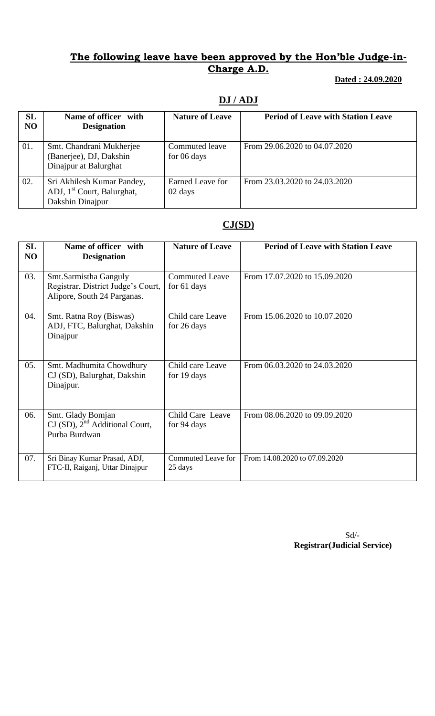## **The following leave have been approved by the Hon'ble Judge-in-Charge A.D.**

#### **Dated : 24.09.2020**

## **DJ / ADJ**

| SL<br>NO | Name of officer with<br><b>Designation</b>                                               | <b>Nature of Leave</b>        | <b>Period of Leave with Station Leave</b> |
|----------|------------------------------------------------------------------------------------------|-------------------------------|-------------------------------------------|
| 01.      | Smt. Chandrani Mukherjee<br>(Banerjee), DJ, Dakshin<br>Dinajpur at Balurghat             | Commuted leave<br>for 06 days | From 29.06.2020 to 04.07.2020             |
| 02.      | Sri Akhilesh Kumar Pandey,<br>ADJ, 1 <sup>st</sup> Court, Balurghat,<br>Dakshin Dinajpur | Earned Leave for<br>02 days   | From 23.03.2020 to 24.03.2020             |

### **CJ(SD)**

| SL<br>NO | Name of officer with<br><b>Designation</b>                                                 | <b>Nature of Leave</b>               | <b>Period of Leave with Station Leave</b> |
|----------|--------------------------------------------------------------------------------------------|--------------------------------------|-------------------------------------------|
| 03.      | Smt.Sarmistha Ganguly<br>Registrar, District Judge's Court,<br>Alipore, South 24 Parganas. | <b>Commuted Leave</b><br>for 61 days | From 17.07.2020 to 15.09.2020             |
| 04.      | Smt. Ratna Roy (Biswas)<br>ADJ, FTC, Balurghat, Dakshin<br>Dinajpur                        | Child care Leave<br>for 26 days      | From 15.06.2020 to 10.07.2020             |
| 05.      | Smt. Madhumita Chowdhury<br>CJ (SD), Balurghat, Dakshin<br>Dinajpur.                       | Child care Leave<br>for 19 days      | From 06.03.2020 to 24.03.2020             |
| 06.      | Smt. Glady Bomjan<br>$CI(SD)$ , $2nd Additional Court$ ,<br>Purba Burdwan                  | Child Care Leave<br>for 94 days      | From 08.06.2020 to 09.09.2020             |
| 07.      | Sri Binay Kumar Prasad, ADJ,<br>FTC-II, Raiganj, Uttar Dinajpur                            | <b>Commuted Leave for</b><br>25 days | From 14.08.2020 to 07.09.2020             |

Sd/- **Registrar(Judicial Service)**